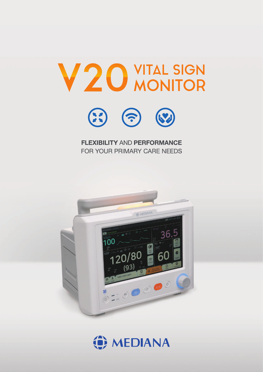



#### **FLEXIBILITY AND PERFORMANCE** FOR YOUR PRIMARY CARE NEEDS



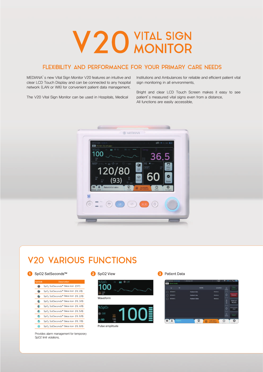# V20 WTAL SIGN

#### FLEXIBILITY AND PERFORMANCE FOR YOUR PRIMARY CARE NEEDS

MEDIANA's new Vital Sign Monitor V20 features an intuitive and clear LCD Touch Display and can be connected to any hospital network (LAN or Wifi) for convenient patient data management.

The V20 Vital Sign Monitor can be used in Hospitals, Medical

Institutions and Ambulances for reliable and efficient patient vital sign monitoring in all environments.

Bright and clear LCD Touch Screen makes it easy to see patient's measured vital signs even from a distance. All functions are easily accessible.



### **V20 VARIOUS FUNCTIONS**

#### 1 SpO2 SatSeconds™

| Symbols | <b>Description</b>                                                |
|---------|-------------------------------------------------------------------|
| ЭG      | SpO <sub>2</sub> SatSeconds <sup>™</sup> Status Icon (Off)        |
| 4       | SpO <sub>2</sub> SatSeconds <sup>™</sup> Status Icon (fill. 1/8)  |
| 4.      | SpO <sub>2</sub> SatSeconds <sup>10</sup> Status Icon (fill, 2/8) |
| e.      | SpO <sub>2</sub> SatSeconds <sup>™</sup> Status Icon (fill, 3/8)  |
|         | SpO <sub>2</sub> SatSeconds <sup>™</sup> Status Icon (fill, 4/8)  |
| ο.      | SpO <sub>2</sub> SatSeconds <sup>™</sup> Status Icon (fill. 5/8)  |
| 4.      | SpO <sub>2</sub> SatSeconds <sup>10</sup> Status Icon (fill, 6/8) |
| 4.      | SpO <sub>2</sub> SatSeconds <sup>™</sup> Status Icon (fill, 7/8)  |
|         | SpO <sub>2</sub> SatSeconds <sup>™</sup> Status Icon (fill, 8/8)  |

Provides alarm management for temporary SpO2 limit violations.



Pulse amplitude

**3** Patient Data

|  | o              | $\blacksquare$ | <b>SAME</b>         | Lucidore |               |        |
|--|----------------|----------------|---------------------|----------|---------------|--------|
|  | <b>NEWATE</b>  |                | <b>Putlent Kim</b>  |          |               |        |
|  | <b>MERNEZ</b>  |                | <b>Patient Lim</b>  |          | ٥             | Delate |
|  | <b>MESSATI</b> |                | <b>Patient Shim</b> |          | $\frac{0}{3}$ |        |
|  |                |                |                     |          |               | ويوقه  |
|  |                |                |                     |          | õ             |        |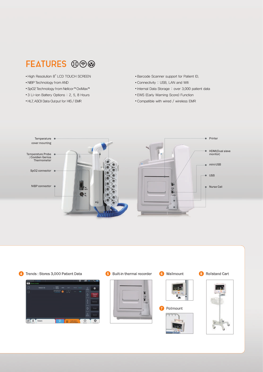### FEATURES **®**

- High Resolution 8"LCD TOUCH SCREEN
- NIBP Technology from AND
- SpO2 Technology from Nellcor™OxiMax™
- 3 Li-ion Battery Options : 2, 5, 8 Hours
- HL7, ASCII Data Output for HIS / EMR
- Barcode Scanner support for Patient ID.
- Connectivity : USB, LAN and Wifi
- Internal Data Storage : over 3,000 patient data
- EWS (Early Warning Score) Function
- Compatible with wired / wireless EMR